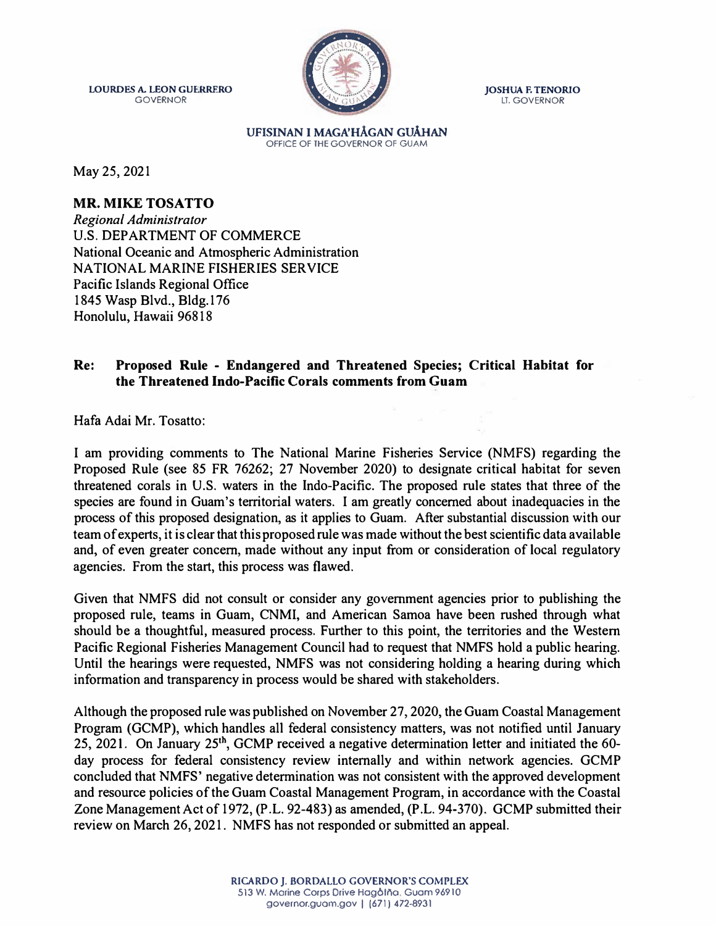**LOURDES** A. **LEON GUERRERO**  GOVERNOR



**JOSHUA** F. **TENORIO**  LT. GOVERNOR

**UFISINAN** I **MAGA'HAGAN GUAHAN**  OFFICE OF THE GOVERNOR OF GUAM

May 25, 2021

## **MR. MIKE TOSATTO**

*Regional Administrator*  U.S. DEPARTMENT OF COMMERCE National Oceanic and Atmospheric Administration NATIONAL MARINE FISHERIES SERVICE Pacific Islands Regional Office 1845 Wasp Blvd., Bldg.176 Honolulu, Hawaii 96818

## **Re: Proposed Rule - Endangered and Threatened Species; Critical Habitat for the Threatened Indo-Pacific Corals comments from Guam**

Hafa Adai Mr. Tosatto:

I am providing comments to The National Marine Fisheries Service (NMFS) regarding the Proposed Rule (see 85 FR 76262; 27 November 2020) to designate critical habitat for seven threatened corals in U.S. waters in the lndo-Pacific. The proposed rule states that three of the species are found in Guam's territorial waters. I am greatly concerned about inadequacies in the process of this proposed designation, as it applies to Guam. After substantial discussion with our team of experts, it is clear that this proposed rule was made without the best scientific data available and, of even greater concern, made without any input from or consideration of local regulatory agencies. From the start, this process was flawed.

Given that NMFS did not consult or consider any government agencies prior to publishing the proposed rule, teams in Guam, CNMI, and American Samoa have been rushed through what should be a thoughtful, measured process. Further to this point, the territories and the Western Pacific Regional Fisheries Management Council had to request that NMFS hold a public hearing. Until the hearings were requested, NMFS was not considering holding a hearing during which information and transparency in process would be shared with stakeholders.

Although the proposed rule was published on November 27, 2020, the Guam Coastal Management Program (GCMP), which handles all federal consistency matters, was not notified until January 25, 2021. On January 25<sup>th</sup>, GCMP received a negative determination letter and initiated the 60day process for federal consistency review internally and within network agencies. GCMP concluded that NMFS' negative determination was not consistent with the approved development and resource policies of the Guam Coastal Management Program, in accordance with the Coastal Zone Management Act of 1972, (P.L. 92-483) as amended, (P.L. 94-370). GCMP submitted their review on March 26, 2021. NMFS has not responded or submitted an appeal.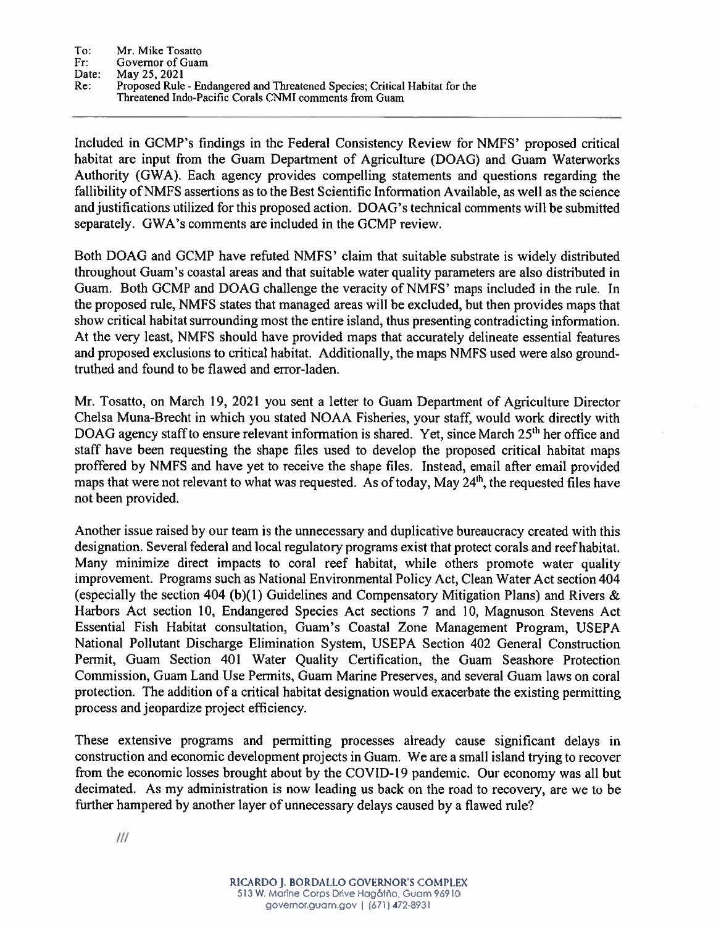Included in GCMP's findings in the Federal Consistency Review for NMFS' proposed critical habitat are input from the Guam Department of Agriculture (DOAG) and Guam Waterworks Authority (GWA). Each agency provides compelling statements and questions regarding the fallibility of NMFS assertions as to the Best Scientific Information Available, as well as the science and justifications utilized for this proposed action. DOAG's technical comments will be submitted separately. GWA's comments are included in the GCMP review.

Both DOAG and GCMP have refuted NMFS' claim that suitable substrate is widely distributed throughout Guam's coastal areas and that suitable water quality parameters are also distributed in Guam. Both GCMP and DOAG challenge the veracity of NMFS' maps included in the rule. In the proposed rule, NMFS states that managed areas will be excluded, but then provides maps that show critical habitat surrounding most the entire island, thus presenting contradicting information. At the very least, NMFS should have provided maps that accurately delineate essential features and proposed exclusions to critical habitat. Additionally, the maps NMFS used were also groundtruthed and found to be flawed and error-laden.

Mr. Tosatto, on March 19, 2021 you sent a letter to Guam Department of Agriculture Director Chelsa Muna-Brecht in which you stated NOAA Fisheries, your staff, would work directly with DOAG agency staff to ensure relevant information is shared. Yet, since March 25<sup>th</sup> her office and staff have been requesting the shape files used to develop the proposed critical habitat maps proffered by NMFS and have yet to receive the shape files. Instead, email after email provided maps that were not relevant to what was requested. As of today, May 24<sup>th</sup>, the requested files have not been provided.

Another issue raised by our team is the unnecessary and duplicative bureaucracy created with this designation. Several federal and local regulatory programs exist that protect corals and reef habitat. Many minimize direct impacts to coral reef habitat, while others promote water quality improvement. Programs such as National Environmental Policy Act, Clean Water Act section 404 (especially the section 404 (b)(1) Guidelines and Compensatory Mitigation Plans) and Rivers  $\&$ Harbors Act section 10, Endangered Species Act sections 7 and 10, Magnuson Stevens Act Essential Fish Habitat consultation, Guam's Coastal Zone Management Program, USEPA National Pollutant Discharge Elimination System, USEPA Section 402 General Construction Permit, Guam Section 401 Water Quality Certification, the Guam Seashore Protection Commission, Guam Land Use Permits, Guam Marine Preserves, and several Guam laws on coral protection. The addition of a critical habitat designation would exacerbate the existing permitting process and jeopardize project efficiency.

These extensive programs and permitting processes already cause significant delays in construction and economic development projects in Guam. We are a small island trying to recover from the economic losses brought about by the COVID-19 pandemic. Our economy was all but decimated. As my administration is now leading us back on the road to recovery, are we to be further hampered by another layer of unnecessary delays caused by a flawed rule?